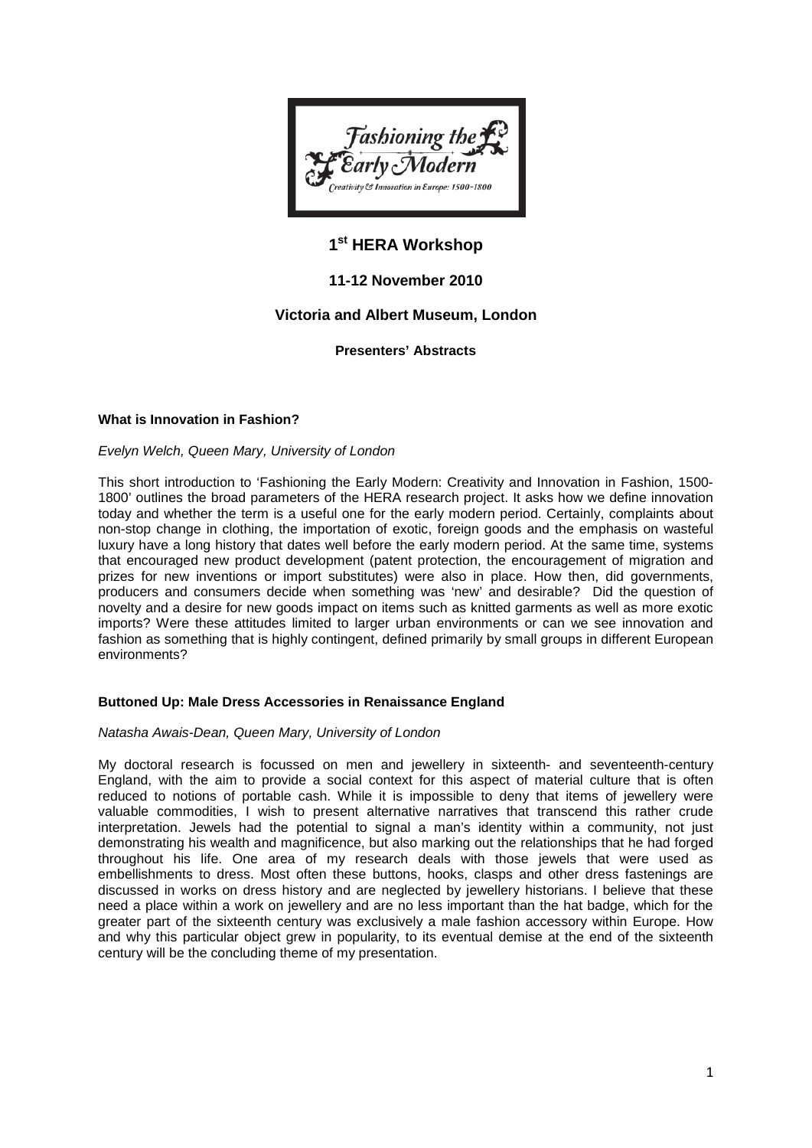

# **1st HERA Workshop**

# **11-12 November 2010**

# **Victoria and Albert Museum, London**

**Presenters' Abstracts**

# **What is Innovation in Fashion?**

# *Evelyn Welch, Queen Mary, University of London*

This short introduction to 'Fashioning the Early Modern: Creativity and Innovation in Fashion, 1500- 1800' outlines the broad parameters of the HERA research project. It asks how we define innovation today and whether the term is a useful one for the early modern period. Certainly, complaints about non-stop change in clothing, the importation of exotic, foreign goods and the emphasis on wasteful luxury have a long history that dates well before the early modern period. At the same time, systems that encouraged new product development (patent protection, the encouragement of migration and prizes for new inventions or import substitutes) were also in place. How then, did governments, producers and consumers decide when something was 'new' and desirable? Did the question of novelty and a desire for new goods impact on items such as knitted garments as well as more exotic imports? Were these attitudes limited to larger urban environments or can we see innovation and fashion as something that is highly contingent, defined primarily by small groups in different European environments?

# **Buttoned Up: Male Dress Accessories in Renaissance England**

#### *Natasha Awais-Dean, Queen Mary, University of London*

My doctoral research is focussed on men and jewellery in sixteenth- and seventeenth-century England, with the aim to provide a social context for this aspect of material culture that is often reduced to notions of portable cash. While it is impossible to deny that items of jewellery were valuable commodities, I wish to present alternative narratives that transcend this rather crude interpretation. Jewels had the potential to signal a man's identity within a community, not just demonstrating his wealth and magnificence, but also marking out the relationships that he had forged throughout his life. One area of my research deals with those jewels that were used as embellishments to dress. Most often these buttons, hooks, clasps and other dress fastenings are discussed in works on dress history and are neglected by jewellery historians. I believe that these need a place within a work on jewellery and are no less important than the hat badge, which for the greater part of the sixteenth century was exclusively a male fashion accessory within Europe. How and why this particular object grew in popularity, to its eventual demise at the end of the sixteenth century will be the concluding theme of my presentation.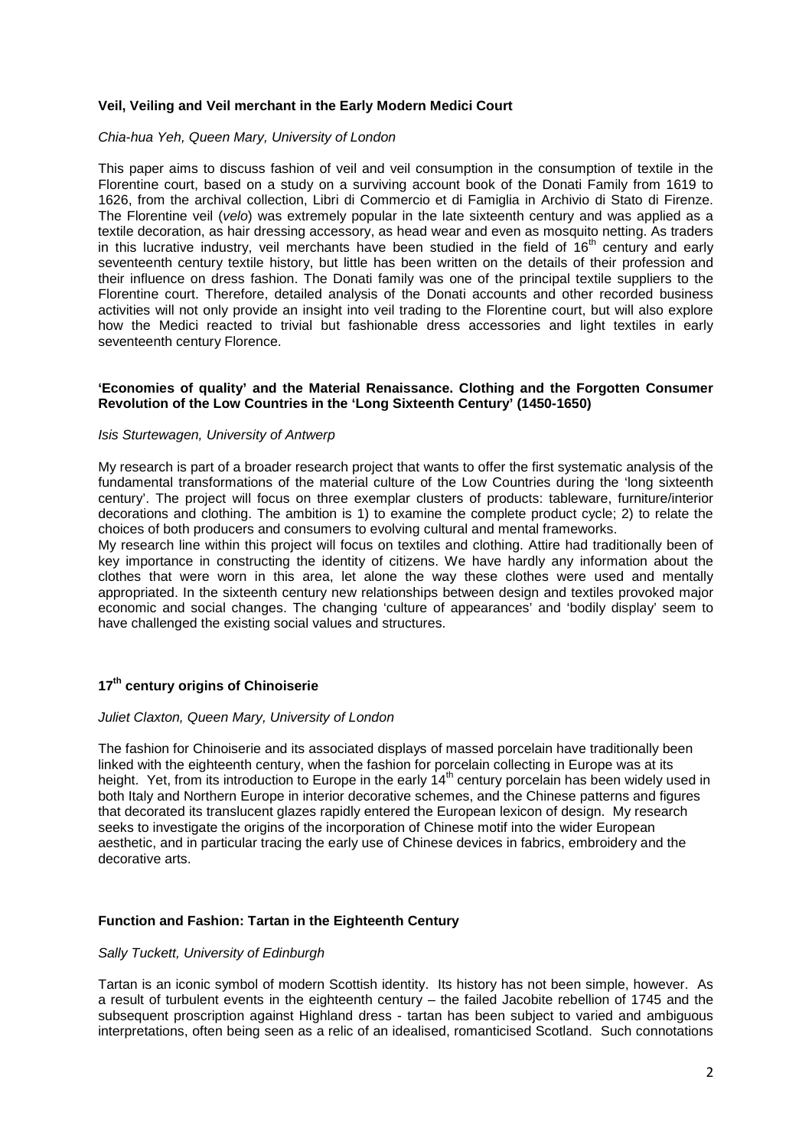# **Veil, Veiling and Veil merchant in the Early Modern Medici Court**

#### *Chia-hua Yeh, Queen Mary, University of London*

This paper aims to discuss fashion of veil and veil consumption in the consumption of textile in the Florentine court, based on a study on a surviving account book of the Donati Family from 1619 to 1626, from the archival collection, Libri di Commercio et di Famiglia in Archivio di Stato di Firenze. The Florentine veil (*velo*) was extremely popular in the late sixteenth century and was applied as a textile decoration, as hair dressing accessory, as head wear and even as mosquito netting. As traders in this lucrative industry, veil merchants have been studied in the field of  $16<sup>th</sup>$  century and early seventeenth century textile history, but little has been written on the details of their profession and their influence on dress fashion. The Donati family was one of the principal textile suppliers to the Florentine court. Therefore, detailed analysis of the Donati accounts and other recorded business activities will not only provide an insight into veil trading to the Florentine court, but will also explore how the Medici reacted to trivial but fashionable dress accessories and light textiles in early seventeenth century Florence.

### **'Economies of quality' and the Material Renaissance. Clothing and the Forgotten Consumer Revolution of the Low Countries in the 'Long Sixteenth Century' (1450-1650)**

#### *Isis Sturtewagen, University of Antwerp*

My research is part of a broader research project that wants to offer the first systematic analysis of the fundamental transformations of the material culture of the Low Countries during the 'long sixteenth century'. The project will focus on three exemplar clusters of products: tableware, furniture/interior decorations and clothing. The ambition is 1) to examine the complete product cycle; 2) to relate the choices of both producers and consumers to evolving cultural and mental frameworks.

My research line within this project will focus on textiles and clothing. Attire had traditionally been of key importance in constructing the identity of citizens. We have hardly any information about the clothes that were worn in this area, let alone the way these clothes were used and mentally appropriated. In the sixteenth century new relationships between design and textiles provoked major economic and social changes. The changing 'culture of appearances' and 'bodily display' seem to have challenged the existing social values and structures.

# **17th century origins of Chinoiserie**

#### *Juliet Claxton, Queen Mary, University of London*

The fashion for Chinoiserie and its associated displays of massed porcelain have traditionally been linked with the eighteenth century, when the fashion for porcelain collecting in Europe was at its height. Yet, from its introduction to Europe in the early 14<sup>th</sup> century porcelain has been widely used in both Italy and Northern Europe in interior decorative schemes, and the Chinese patterns and figures that decorated its translucent glazes rapidly entered the European lexicon of design. My research seeks to investigate the origins of the incorporation of Chinese motif into the wider European aesthetic, and in particular tracing the early use of Chinese devices in fabrics, embroidery and the decorative arts.

#### **Function and Fashion: Tartan in the Eighteenth Century**

#### *Sally Tuckett, University of Edinburgh*

Tartan is an iconic symbol of modern Scottish identity. Its history has not been simple, however. As a result of turbulent events in the eighteenth century – the failed Jacobite rebellion of 1745 and the subsequent proscription against Highland dress - tartan has been subject to varied and ambiguous interpretations, often being seen as a relic of an idealised, romanticised Scotland. Such connotations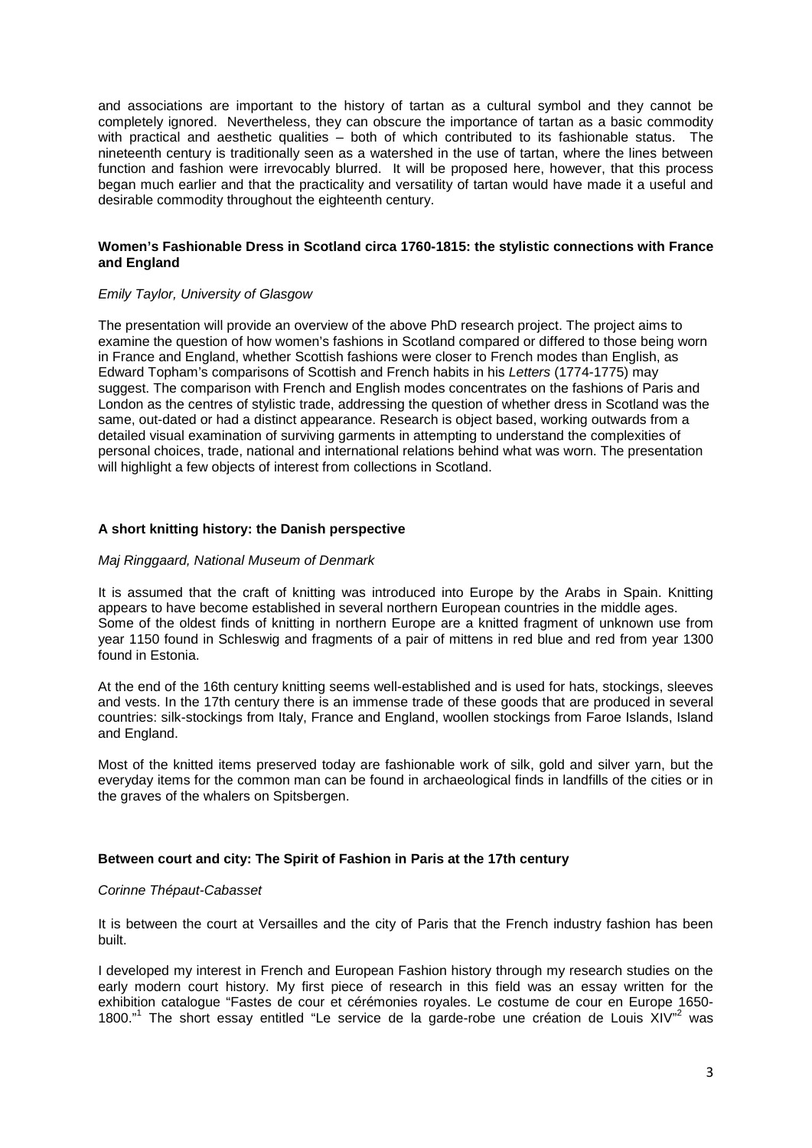and associations are important to the history of tartan as a cultural symbol and they cannot be completely ignored. Nevertheless, they can obscure the importance of tartan as a basic commodity with practical and aesthetic qualities – both of which contributed to its fashionable status. The nineteenth century is traditionally seen as a watershed in the use of tartan, where the lines between function and fashion were irrevocably blurred. It will be proposed here, however, that this process began much earlier and that the practicality and versatility of tartan would have made it a useful and desirable commodity throughout the eighteenth century.

# **Women's Fashionable Dress in Scotland circa 1760-1815: the stylistic connections with France and England**

#### *Emily Taylor, University of Glasgow*

The presentation will provide an overview of the above PhD research project. The project aims to examine the question of how women's fashions in Scotland compared or differed to those being worn in France and England, whether Scottish fashions were closer to French modes than English, as Edward Topham's comparisons of Scottish and French habits in his *Letters* (1774-1775) may suggest. The comparison with French and English modes concentrates on the fashions of Paris and London as the centres of stylistic trade, addressing the question of whether dress in Scotland was the same, out-dated or had a distinct appearance. Research is object based, working outwards from a detailed visual examination of surviving garments in attempting to understand the complexities of personal choices, trade, national and international relations behind what was worn. The presentation will highlight a few objects of interest from collections in Scotland.

# **A short knitting history: the Danish perspective**

#### *Maj Ringgaard, National Museum of Denmark*

It is assumed that the craft of knitting was introduced into Europe by the Arabs in Spain. Knitting appears to have become established in several northern European countries in the middle ages. Some of the oldest finds of knitting in northern Europe are a knitted fragment of unknown use from year 1150 found in Schleswig and fragments of a pair of mittens in red blue and red from year 1300 found in Estonia.

At the end of the 16th century knitting seems well-established and is used for hats, stockings, sleeves and vests. In the 17th century there is an immense trade of these goods that are produced in several countries: silk-stockings from Italy, France and England, woollen stockings from Faroe Islands, Island and England.

Most of the knitted items preserved today are fashionable work of silk, gold and silver yarn, but the everyday items for the common man can be found in archaeological finds in landfills of the cities or in the graves of the whalers on Spitsbergen.

### **Between court and city: The Spirit of Fashion in Paris at the 17th century**

#### *Corinne Thépaut-Cabasset*

It is between the court at Versailles and the city of Paris that the French industry fashion has been built.

I developed my interest in French and European Fashion history through my research studies on the early modern court history. My first piece of research in this field was an essay written for the exhibition catalogue "Fastes de cour et cérémonies royales. Le costume de cour en Europe 1650- 1800."<sup>1</sup> The short essay entitled "Le service de la garde-robe une création de Louis XIV"<sup>2</sup> was